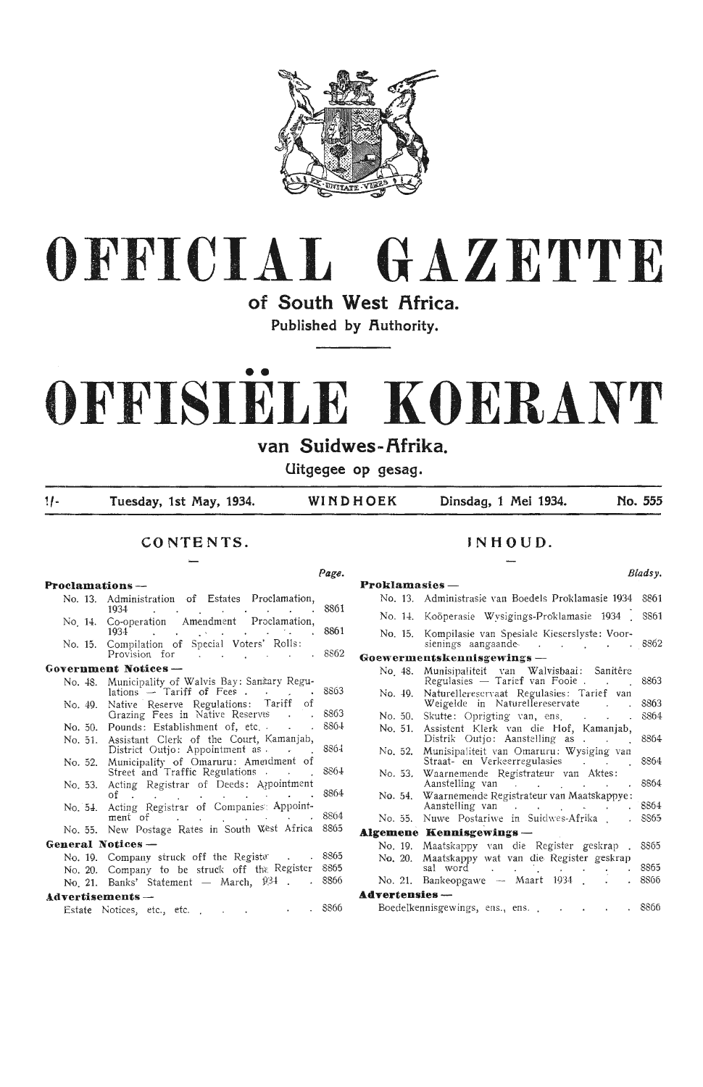



**of South West Africa.**  Published by Authority.

# •• **OFFISIELE KOERANT**

van Suidwes-Afrika.

**Uitgegee op gesag.** 

,, - **Tuesday, 1st May, 1934. WINDHOEK Dinsdag, 1 Mei 1934. No. 555** 

**Page.** 

#### **CONTENTS.**

#### **Proclamations** - No. 13. Administration of Estates Proclamation, 1934 . . <u>. . . . . . 8861</u> No. 14. Co-operation Amendment Proclamation, Co-operation Amendment Proclamation,<br>1934 . . . . . . . . . . . 8861 No. 15. Compilation of Special Voters' Rolls: Provision for . . . . . 8862 **Government Notice s** - No. 48. Municipality of Walvis Bay: Sanitary Regulations  $-$  Tariff of Fees . . . . 8863 No. 49. No. 50. Pounds: Establishment of, etc. No. 51. No. 52. No. 53. Acting Registrar of Deeds: Aqpointment Native Reserve Regulations: Tariff of Grazing Fees in Native Reserves Assistant Clerk of the Court, Kamanjab, District Outjo: Appointment as . Municipality of Omaruru: Ameidment of Street and Traffic Regulations . of 8863 8864 8864 8864 8864 No. 54. Acting Registrar of Companies: Appointment of . . . . . . . 8864 No. 55. New Postage Rates in South West Africa 8865 **General Notices** - No. 19. Company struck off the Regista: 3865<br>No. 20. Company to be struck off the Register 8865 No. 20. Company to be struck of  $\text{tr } R$  Register 8865<br>No. 21 Banks' Statement — March.  $\frac{p}{34}$ . . 8866 No. 21. Banks' Statement — March,  $\widehat{p}34$  . . **.idvertis ements** - Estate Notices, etc., etc., ... ... 8866

#### **JNHOUD.**

*Btadsy.* 

| <b>Proklamasies</b> - |                                                                                                                                                                                                                                                                             |             |
|-----------------------|-----------------------------------------------------------------------------------------------------------------------------------------------------------------------------------------------------------------------------------------------------------------------------|-------------|
|                       | No. 13. Administrasie van Boedels Proklamasie 1934 – 8861                                                                                                                                                                                                                   |             |
|                       | No. 14. Koöperasie Wysigings-Proklamasie 1934.                                                                                                                                                                                                                              | <b>SS61</b> |
| No. 15.               | Kompilasie van Spesiale Kieserslyste: Voor-<br>sienings aangaande is de steed in de steed in de steed in de steed in termen in de steed in de steed in de ste                                                                                                               | 8862        |
|                       | Goewermentskennisgewings —                                                                                                                                                                                                                                                  |             |
| No. 48.               | Munisipaliteit van Walvisbaai: Sanitêre<br>Regulasies — Tarief van Fooie                                                                                                                                                                                                    | 8863        |
| No. 49.               | Naturellereservaat Regulasies: Tarief van<br>Weigelde in Naturellereservate                                                                                                                                                                                                 | 8863        |
| No. 50.               | Skutte: Oprigting van, ens.<br>$\ddot{\phantom{a}}$                                                                                                                                                                                                                         | 8864        |
| No. 51.               | Assistent Klerk van die Hof, Kamanjab,<br>Distrik Outjo: Aanstelling as                                                                                                                                                                                                     | 8864        |
| No. 52.               | Munisipaliteit van Omaruru: Wysiging van<br>Straat- en Verkeerregulasies                                                                                                                                                                                                    | 8864        |
| No. 53.               | Waarnemende Registrateur van Aktes:<br>Aanstelling van<br>and a state of the<br>s.                                                                                                                                                                                          | 8864        |
| No. 54.               | Waarnemende Registrateur van Maatskappye:<br>Aanstelling van Tanneer van Steaten van Steaten van Steaten van Steaten van Steaten van Steaten van Steaten van Steaten van Steaten van Steaten van Steaten van Steaten van Steaten van Steaten van Steaten van Steaten van St | 8864        |
|                       | No. 55. Nuwe Postariwe in Suidwes-Afrika                                                                                                                                                                                                                                    | 8865        |
|                       | Algemene Kennisgewings —                                                                                                                                                                                                                                                    |             |
| No. 19.               | Maatskappy van die Register geskrap                                                                                                                                                                                                                                         | 8865        |
| No. 20.               | Maatskappy wat van die Register geskrap<br>sal word                                                                                                                                                                                                                         | 8865        |
| No. 21.               | Bankeopgawe -- Maart 1934                                                                                                                                                                                                                                                   | 8866        |
| Advertensies —        |                                                                                                                                                                                                                                                                             |             |
|                       | Boedelkennisgewings, ens., ens.                                                                                                                                                                                                                                             | . 8866      |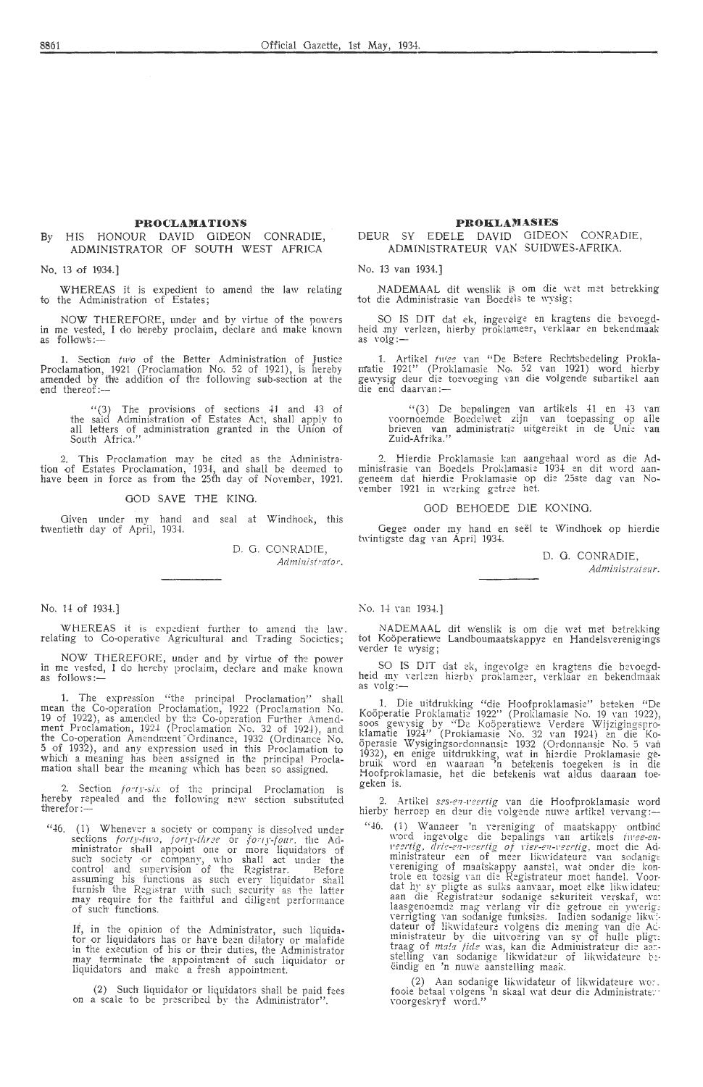#### **PROCLAMATIONS**

#### By HIS HONOUR DAVID GIDEON CONRADIE, ADMINISTRATOR OF SOUTH WEST AFRICA

No. 13 of 1934.]

WHEREAS it is expedient to amend the law relating to the Administration of Estates;

NOW THEREFORE, under and by virtue of the powers in me vested, I do hereby proclaim, declare and make known<br>as follow's:—

1. Section two of the Better Administration of Justice Proclamation, 1921 (Proclamation No. 52 of 1921), is hereby<br>amended by the addition of the following sub-section at the end thereof:—

> $(3)$  The provisions of sections  $41$  and  $43$  of the said Administration of Estates Act, shall apply to all Letters of administration granted in the Union of South Africa."

2. This Proclamation may be cited as the Administration of Estates Proclamation, 1934, and shall be deemed to have been in force as from the 25th day of November, 1921.

GOD SAVE THE KING.

Given under my hand and seal at Windhoek, this twentieth day of April, 1934.

> D. 0. CONRADIE, *Administrator*.

#### No. 14 of 1934.]

WHEREAS it is expedient further to amend the law.<br>relating to Co-operative Agricultural and Trading Societies;

NOW THEREFORE, under and by virtue of the power in me vested, I do hereby proclaim, declare and make known as follows:-

1. The expression "the principal Proclamation" shall mean the Co-operation Proclamation, 1922 (Proclamation No. 19 of 1922), as amended by the Co-operation Further Amendment Proclamation, 1924 (Proclamation No. 32 of 1924), and the Co-operation Arnendment"Ordinance, 1932 (Ordinance No. 5 of 1932), and any expression used in this Proclamation *to*  which a meaning has been assigned in the principal Proclamation shall bear the meaning which has been so assigned.

2. Section *forty-six* of the principal Proclamation is hereby repealed and the following new section substituted<br>therefor:—

 $46.$  (1) Whenever a society or company is dissolved under sections forty-two, forty-three or forty-foar, the Ad-<br>ministrator shall appoint one or more liquidators of<br>such society or company, who shall act under the control and supervision of the Registrar. Before<br>assuming his functions as such every liquidator shall furnish the Registrar with such security as the latter may require for the faithful and diligent performance<br>of such functions.

If, in the opinion of the Administrator, such liquida-<br>tor or liquidators has or have been dilatory or malafide<br>in the execution of his or their duties, the Administrator may terminate the appointment of such liquidator or liquidators and make a fresh appointment.

(2) Such liquidator or liquidators shall be paid fees on a scale to be prescribed by the Administrator".

#### **PROKLA}IASIES**

DEUR SY EDELE DAVID GIDEON CONRADIE, ADMINISTRATEUR VAN SUIDWES-AFRIKA.

#### No. 13 van 1934.]

NADEMAAL dit wenslik is om die wet met betrekking tot die Administrasie van Boed?ls *te* \\'ysig;

SO IS DIT dat ek, ingevelge en kragtens die bevoegdheid my verleen, hierby proklameer, verklaar en bekendmaak as volg :-

1. Artikel *twee* van "De Betere Rechtsbedeling Prokla-<br>matie 1921" (Proklamasie No, 52 van 1921) word hierby gewysig deur die toevoeging van die volgende subartikel aan<br>die end daarvan:—

" (3) De bepalingen van artikels 41 en 43 van<br>voornoemde Boedelwet zijn van toepassing op alle brieven van administrati:: uitgereikt in de Unie van Zuid-Afrika."

2. Hierdie Proklamasie kan aangehaal word as die Ad-<br>ministrasie van Boedels Proklamasie 1934 en dit word aangeneem dat hierdie Proklamasie op die 25ste dag van No-<br>vember 1921 in werking getree het.

#### GOD BEHOEDE DIE KONING.

Gegee onder my hand en seël te Windhoek op hierdie twintigste dag van April 1934.

> D. 0. CONRADIE, *Adminis1r,11eur.*

#### No. 14 van 1934.1

NADEMAAL dit wenslik is om die wet met betrekking tot Koöperatiewe Landboumaatskappye en Handelsverenigings<br>verder te wysig;

SO IS DIT dat ek, ingevolge en kragtens die bevoegd-<br>heid my verleen hierby proklameer, verklaar en bekendmaak<br>as volg:-

1. Die uitdrukking "die Hoofproklamasie" beteken "De Koöperatie Proklamatie 1922'' (Proklamasie No. 19 van 1922),<br>soos gewysig by ''De Koöperatiewe Verdere Wijzigingsproklamatie 1924'' (Proklamasie No. 32 van 1924) en die Koöperasie Wysigingsordonnansie 1932 (Ordonnansie No. 5 van<br>1932), en enige uitdrukking, wat in hierdie Proklamasie ge-<br>bruik word en waaraan 'n betekenis toegeken is in die Hoofproklamasie, het die betekenis wat aldus daaraan toe-<br>geken is.

2. Artikel ses-en-veertig van die Hoofproklamasie word hierby herroep en deur die volgende nuwe artikel vervang:-

"46. (1) Wanneer 'n vereniging of maatskappy ontbind word ingevolge die bepalings van artikels *twee-en-* $\vec{v}$  *eertig, drie-en-veertig of vier-en-veertig,* moet die Administrateur een of meer likwidateure van sodanigt<br>vereniging of maatskappy aanstel, wat onder die kontrole en toesig van die Registrateur moet handel. Voordat hy sy pligte as sulks aanvaar, moet elke likwidateur<br>aan die Registrateur sodanige sekuriteit verskaf, wa:<br>laasgenoemde mag verlang vir die getroue en ywerig, verrigting van sodanige funksies. Indien sodanige likwi-<br>dateur of likwidateure volgens die mening van die Acministrateur by die uitvoering van sy of hulle pligt. traag of mala jide was, kan die Administrateur die aarstelling van sodanige likwidateur of likwidateure beeindig en 'n nuwe aanstelling maak.

(2) Aan sodanige likwidateur of likwidateure wo:.<br>fooie betaal volgens 'n skaal wat deur die Administrate::·<br>voorgeskryf word."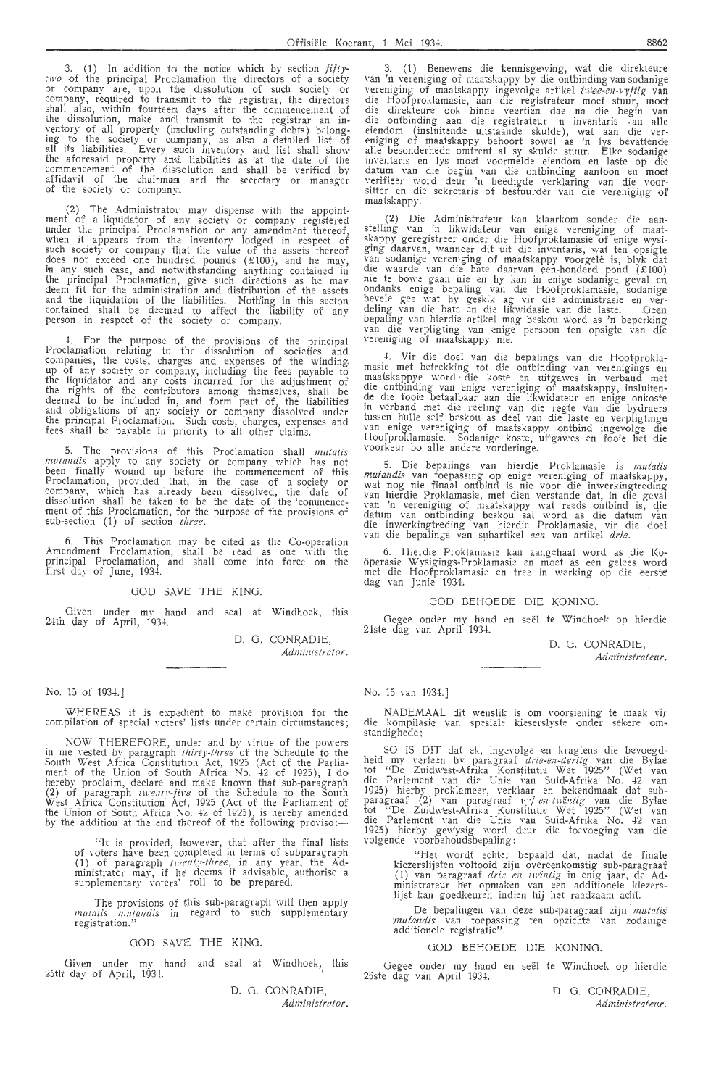3. (1) In addition to the notice which by section *fifty*-:110 of the principal Proclamation the directors of a society or company are, upon the dissolution of such society or company, required to frarns mit *to* the registrar, the directors shall also, within fourteem days after the commencement of the dissolution, ma'ke and! transmit to the registrar an in-ventory of all property (imc!uding outstanding debts) belonging to the society or company, as also a detailed list of all its liabilities. Every such inventory and list shall show the aforesaid property an@ liabilities as at the date of the commencement of the dissolution and shall be verified by affidavit of the chairmam and the secretary or manager<br>of the society or company.

(2) The Administrator may dispense with the appointment of a liquidator of any society or company registered under the principal Proclamation or any amendment thereof, when it appears from the inventory lodged in respect of such society or company that the value of the assets thereof does not exceed one hundred pounds (£100), and he may, in any such case, and notwithstanding anything contained in the principal Proclamation, give such directions as he may deem fit for the administration and distribution of the assets and the liquidation of the liabilities. Noth'ing in this secton contained shall be deemed to affect the liability of any<br>person in respect of the society or company.

-1-. For the purpose of the provisions of the principal Proclamation relating to the dissolution of societies and companies, the costs. charges and expenses of the winding up of any soci-ety or company, including the fees payable to the liquidator and any costs incurred for the adjustment of the rights of the contributors among themselves, shall be<br>deemed to be included in, and form part of, the liabilities and obligations of any society or company dissoh·ed under the principal Proclamation. Such costs, charges, expenses and<br>fees shall be payable in priority to all other claims.

5. The provisions of this Proclamation shall *mutatis* muia11dis apply *to* any society or company which has not been finally wound up before the commencement of this Proclamation, provided that, in the case of a society or company, which has already been dissolved, the date of dissolution shall be taken to be the date of the commencement of this Proclamation, for the purpose of the provisions of sub-section (1) of section *three.* ·

6. This Proclamation mav be cited as the Co-operation Amendment Proclamation, shall be read as one with the principal Proclamation, and shall come into force on the first day of June, 1934.

#### GOD SAVE THE KING.

Given under mv hand and seal at Windhoek, this 24th day of April, 1934.

> D. G. CONRADIE, *Administrator.*

No. 15 of 1934.]

WHEREAS it is expedient to make provision for the compilation of special voters' lists under certain circumstances;

NOW THEREFORE, under and by virtue of the powers in me vested by paragraph *thirly-t* <sup>1</sup>*zree* of the Schedule to the South West Africa Constitution Act, 1925 (Act of the Parliament of the Union of South Africa No. 42 of 1925), I do hereby proclaim, declare and make known that sub-paragraph<br>(2) of paragraph *twenty-five* of the Schedule to the South West Africa Constitution Act, 1925 (Act of the Parliament of the Union of South Africa No. 42 of 1925), is hereby amended by the addition at the end thereof of the following proviso: $-$ 

"It is provided, however, that after the final lists of voters have been completed in terms of subparagraph (1) of paragraph twenty-three, in any year, the Administrator may, if he deems it advisable, authorise a<br>supplementary voters' roll to be prepared.

The provisions of this sub-paragraph will then apply *mutatis mutandis* in regard to such supplementary registration."

#### GOD SAVE THE KING.

Given under my hand and seal at Windhoek, this 25th day of April, 1934.

> D. 0. CONRADIE, Administrator.

3. (1) Benewens die kennisgewing, wat die direkteure van 'n vereniging of maatskappy by die ontbinding van sodanige vereniging of maatskappy ingevolge artikel twee-en-vyftig van vereniging of maatskappy ingevolge artikel *twee-en-vyftig* van die Hoofproklamasie, aan die registrateur moet stuur, moet die direkteure oak binne veertien dae na die begin van die ontbinding aan die registrateur 'n inventaris van alle eiendom (insluitende uitstaande skulde), wat aan die vereniging of rnaatskappy behoort sowel as 'n lys bevattende alle besonderhede omtrent al sy skulde stuur. Elke sodanige inventaris en lys moet voormelde eiendom en laste op die datum van die begin van die ontbinding aantoon en moet verifieer word deur 'n beedigde verklaring van die voor-sitter en die sekretaris of bestuurder van die vereniging of maatskappy.

(2) Die Administrateur kan klaarkom sonder die aan-stelling van 'n likwidateur van enige vereniging of maat-skappy geregistreer onder die Hoofproklamasie of enige w-ysiging daarvan, wanneer dit uit die inventaris, wat ten opsigte van sodanige vereniging of maatskappy voorgelê is, blyk dat die waarde van die bate daarvan een-honderd pond  $(E100)$ nie te bowe gaan nie en hy kan in enige sodanige geval en ondanks enige bepaling van die Hoofproklamasie, sodanige bevele gee wat hy geskik ag vir die administrasie en verdeling van die bate en die likwidasie van die laste. Deen bepaling van hierdie artikel mag beskou word as 'n beperking van die verpligting van enige persoon ten opsigte van die<br>vereniging of maatskappy nie.

4. Vir die doel van die bepalings van die Hoofprokla-<br>masie met betrekking tot die ontbinding van verenigings en<br>maatskappye word die koste en uitgawes in verband met die ontbinding van enige vereniging of maatskappy, insluitende die fooie betaalbaar aan die likwidateur en enige onkoste in verband met die reëling van die regte van die bydraers tussen hulle self beskou as deel van die laste en verpligtinge van enige vereniging of maatskappy ontbind ingevolge die Hoofproklamasie. Sodanige koste, uitgawes en fooie het die voorkeur bo alle andere vorderinge.

5. Die bepalings van hierdie Proklamasie is *mutatis mutandis* van toepassing op •enige vereniging of maatskappy, wat nog nie finaal ontbind is nie voor die inwerkingtreding van hierdie Proklamasie, met dien verstande dat, in die geval<br>van 'n vereniging of maatskappy wat reeds ontbind is, die datum van ontbinding beskou sal word as die datum van die inwerkingtr-eding van hierdie Proklamasie, vir die doe! van die bepalings van subartikel een van artikel *drie.* 

6. Hierdie Proklamasie kan aangehaal word as die Kooperasie Wysigings-Proklamasie en moet as een gelees word met die Hoofproklamasie en tree in werking op die eerste dag van Junie 1934.

#### GOD BEHOEDE DlE KONING.

Gegee onder my hand en seël te Windhoek op hierdie 24ste dag van April 1934.

D. G. CONRADIE,

*Adminislraleur.* 

No. 15 van 1934.]

NADEMAAL clit wenslik is om voorsiening te maak vir die kompilasie van spesiale kieserslyste onder sekere omstandighede;

SO IS DIT dat ek, ingevolge en kragtens die bevoegdheid my verleen by paragraaf *drie-en-dertig* van die Bylae tot "De Zuidw'est-Afrika Konstitutie Wet 1925" (Wet van die Parlement van die Unie van Suid-Afrika No. 42 van 1925) hierby proklameer, verklaar en bekendmaak dat subparagraaf (2) van paragraaf 1'*y†-en-tu)kutig* van die Bylae<br>tot "De Zuidwest-Afrika Konstituiie Wet 1925" (Wet van die Parlement van die Unie van Suid-Afrika No. 42 van 1925) hierby gew'ysig word deur die toevoeging van die volgende voorbehoudsbepaling :-

"Het wordt echter bepaald dat, nadat de finale kiezerslijsten voltooid zijn overeenkomstig sub-paragraaf (1) van paragraaf *drie e;z iwiniig* in enig jaar, de Administrateur het opmaken van een additionele kiezers~ lijst kan goedkeuren indien hij het raadzaam acht.

De bepalingen van deze sub-paragraaf zijn mutatis *vnutandis* van toepassing ten opzichte van zodanige<br>additionele registratie".

#### GOD BEHOEDE DIE KONING.

Gegee onder my hand en seël te Windhoek op hierdie 25ste dag van April 1934.

> D. 0. CONRADIE, Administrateur.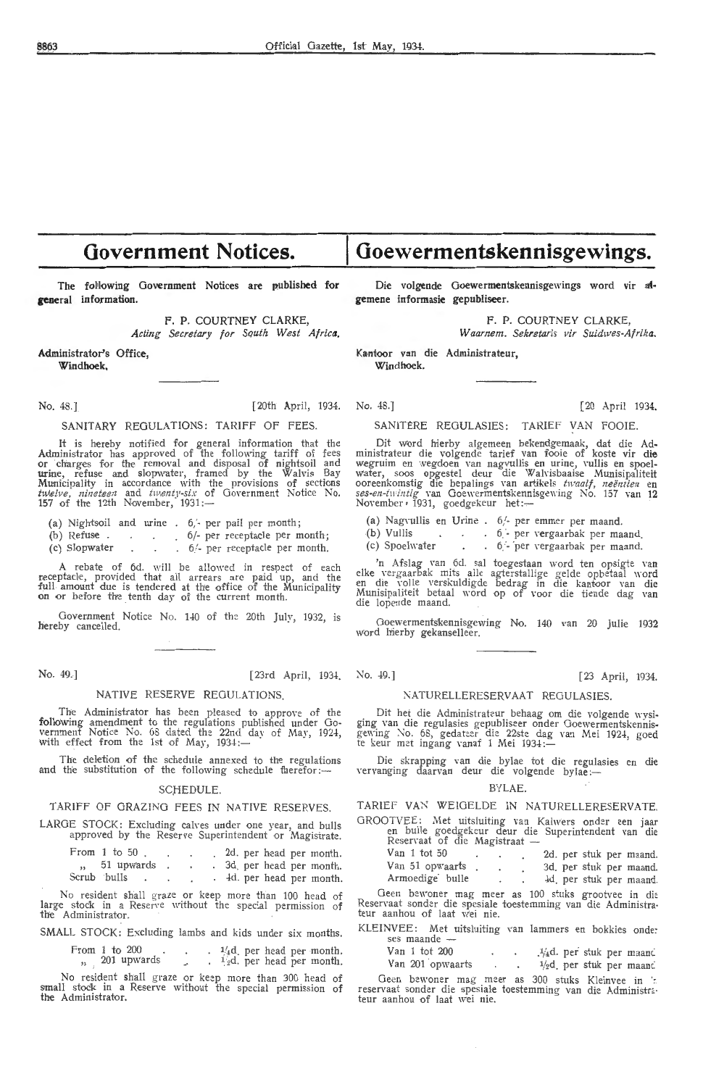## **Government Notices.**

The folfowing Government Notices are published for **general** information.

> F. P. COURTNEY CLARKE, *Acting Secretary for Squth West Africa.*

Administrator's Office,

**Windhoek,** 

#### No. 48.] [20th April, 1934.

#### SANITARY REGULATIONS: TARIFF OF FEES.

It is hereby notified for general information that the Administrator has approved of the following tariff of fees<br>or charges for the removal and disposal of nightsoil and  $urine$ , refuse and slopwater, framed by the  $\bar{W}$ alvis Bay Municipality in accordance with the provisions of sections<br>*twelve, nineteen* and *twenty-six* of Government Notice No.<br>157 of the 12th November, 1931:—

- (a) Night&oil and urine 6,'- per pail per month ;
- (b) Refuse . . 6/- per receptacle per month;
- (c) Slopwater  $\ldots$  . 6. per receptacle per month.

A rebate of 6d. will be allowed in respect of each<br>receptacle, provided that all arrears are paid up, and the full amount due is tendered at the office of the Municipality<br>on or before the tenth day of the current month.

Government Notice No. HO of the 20th July, 1932, is hereby cancelled.

No. 49.] [23rd April, 1934.

#### NATIVE RESERVE REGULATIONS.

The Administrator has been pleased to approve of the following amendment to the regulations published under Government Notice No. 68 dated the 22nd day of May, 1924,<br>with effect from the 1st of May, 1934:—

The deletion of the schedule annexed *to* the regulations and the substitution of the following schedule therefor:-

#### SCHEDULE.

#### TARIFF OF GRAZING FEES IN NATIVE RESERVES.

LARGE STOCK: Excluding calves under one year, and bulls approved by the Reserve Superintendent or Magistrate.

| From $1$ to $50$            |  |  |  |  | 2d. per head per month.             |
|-----------------------------|--|--|--|--|-------------------------------------|
| $\frac{1}{2}$ , 51 upwards. |  |  |  |  | . 3d per head per month.            |
| Scrub bulls<br>$\bullet$    |  |  |  |  | $\frac{1}{4}$ . Her head per month. |

No resident shall graze or 'keep more than 100 head of large stock in a Reserve without the special permission of the Administrator.

SMALL STOCK: Excluding lambs and kids under six months.

From 1 to 200  $\ldots$   $\frac{1}{4}d$  per head per month. 201 upwards  $\frac{1}{2}$ d. per head per month.

No resident shall graze or keep- more than 300 head of small stock in a Reserve without the special permission of the Administrator.

Die volgende Goewermentskennisgewings word vir at**gemene informasie gepubliseer.** 

**Goewermentskennisgewings.** 

F. P. COURTNEY CLARKE,

Waarnem. Sekretaris vir Suidwes-Afrika.

Kantoor van die Administrateur,

Windhoek.

No. 48.] [20 April 1934,

#### SANITERE REOULASIES: TARIEF VAN FOOIE.

Dit word hierby algemeen bekendgemaak, dat die Administrateur die volgende tarief van fooie of koste vir **die**  wegruim en wegdoen van nagvullis en urine, vullis en spoel• water, soos opgestel deur die Walvisbaaise Munisipaliteit<br>ooreenkomstig die bepalings van artikels *twaalf, neëntien* en s*es-en-twintig* van Goewermentskennisgewing No. 157 van 12<br>November,1931, goedgekeur het:—

- (a) Nagrullis en Urine  $6/-$  per emmer per maand.<br>(b) Vullis  $\therefore$  6 per vergaarbak per ma
- 
- (b) Vullis  $\therefore$  6 per vergaarbak per maand.<br>
(c) Spoelwater  $\therefore$  6 per vergaarbak per maand. (c) Spot en tergaarbak per maand.

'n Afslag van 6d. sal toegestaan word ten opsigte van<br>elke vergaarbak mits alle agterstallige gelde opbetaal word<br>en die volle verskuldigde bedrag in die kantoor van die Munisipaliteit betaal word op of voor die tiende dag van<br>die lopende maand.

Goewermentskennisgewing No. 140 van 20 Julie 1932 word hierby gekanselleer.

## No. 49.] [23 April, 1934.

#### NATURELLERESERVAAT REGULASIES.

Dit het die Administrateur behaag om die volgende wysiging van die regulasies gepubliseer onder Goewermentskennisgewing No. 68, gedateer die 22ste dag van Mei 1924, goed<br>te keur met ingang vanaf 1 Mei 1934:—

Die skrapping van die bylae tot die regulasies en die vervanging daarvan deur die volgende bylae:-

#### BYLAE.

TARIEF VAN WEIGELDE IN NATURELLERESERVATE,

GROOTVEE: Met uitsluiting van Kalw'ers onder een jaar en bulle goedgekeur deur die Superintendent van die Reservaat of die Magistraat -

Van 1 tot *50* 2d. per stuk per maand, Van 51 opwaarts . . . 3d. per stuk per maand.

Armoedige<sup>:</sup> bulle -left. 4d<sub>.</sub> per stuk per maand. Geen bewoner mag meer as 100 stuks grootvee in die Reservaat sonder die spesiale toestemming van die Administra-<br>teur aanhou of laat wei nie.

KLEINVEE: Met uitsluiting ,·an lammers en bokkies onde: ses maande -

 $1/4d$ . per stuk per maanc Van 201 opwaarts  $\cdot$   $\cdot$   $\cdot$   $\frac{1}{2}d$  per stuk per maanc

Geen bewoner mag meer as 300 stuks Kleinvee in ':<br>reservaat sonder die spesiale toestemming van die Administrateur aanhou of laat wei nie.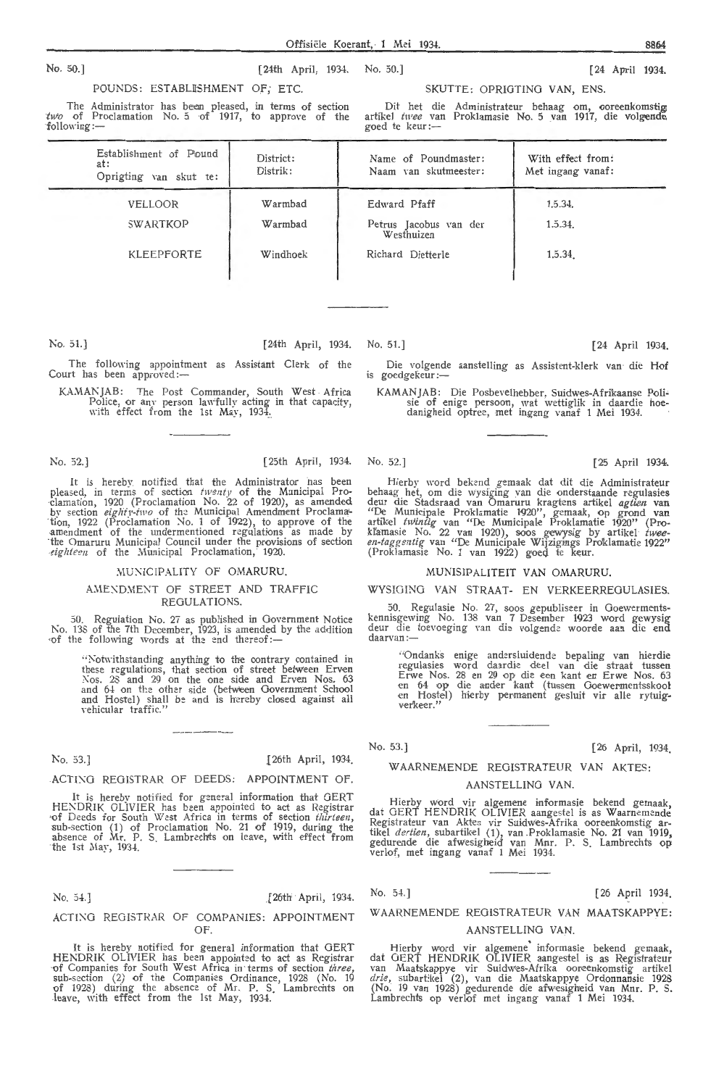No. 50.) (24th April, 1934. No. 50.) [24 April 1934.

POUNDS: ESTABLISHMENT OF: ETC.

The Administrator has been pleased, in terms of section  $two$  of Proclamation No. 5 of 1917, to approve of the following:-

SKUTTE: OPRIGTING VAN, ENS.

Dit het die Administrateur behaag om, ooreenkomstig; artikel *twee* van Proklamasie No. 5 van 1917, die volgende goed te keur :-

| Establishment of Pound<br>at:<br>Oprigting van skut te: | District:<br>Distrik: | Name of Poundmaster:<br>Naam van skutmeester: | With effect from:<br>Met ingang vanaf: |
|---------------------------------------------------------|-----------------------|-----------------------------------------------|----------------------------------------|
| VELLOOR                                                 | Warmbad               | Edward Pfaff                                  | 1.5.34.                                |
| SWARTKOP                                                | Warmbad               | Petrus Jacobus van der<br>Westhuizen          | 1.5.34.                                |
| KLEEPFORTE                                              | Windhoek              | Richard Dietterle                             | 1.5.34                                 |

No. 51.) (24th April, 1934. No. 51.] (24 April 1934.

The following appointment as Assistant Clerk of the Court has been approved:-

KA.MANJAB: The Post Commander, South West Africa Police, or any person lawfully acting in that capacity, with effect from the 1st May, 1934.

#### No. 52.] [25th April, 1934. No. 52.] [25 April 1934.

It is hereby notified that the Administrator has been pleased, in terms of section  $\{Nv, 22 \text{ of the Municipal Pro-} \text{clamation}, 1920 \text{ (Productionation No. 22 of 1920)}\}$ , as amended by section *eighty-two* of the Municipal Amendment Proclamation, 1922 (Proclamation  $\text{No. 1 of } 1922$ ), to approve of the amendment of the undermentioned regulations as made by ·the Omaruru Municipal Council under the provisions of section eighteen of the Municipal Proclamation, 1920.

#### MUNICIPALITY OF OMARURU.

#### AMENDMENT OF STREET AND TRAFFIC REGULATIONS.

*50.* Regulation No. 27 as published in Government Notice No. 13S of the 7th December, 1923, is amended by the addition of the following words at the end thereof:-

"Notwithstanding anything to the contrary contained in these regulations, that section of street between Erven<br>Nos. 28 and 29 on the one side and Erven Nos. 63 and 64 on the other side (between Government School and Hostel) shall be and is hereby closed against all \·ehicular traffic."

No. 53.] [26th April, 1934]

#### ACTIXG REGISTRAR Of DEEDS: APPOINTMENT OF.

It is hereby notified for general information that GERT HENDRIK OLIVIER has been appointed to act as Registrar of Deeds for South West Africa in terms of section *thirteen*, sub-section (1) of Proclamation No. 21 of 1919, during the absence of Mr. P. S. Lambrechts on leave, with effect from the 1st May, 1934.

No. 5-l.] (26th · April, 1934.

#### ACTIXG REGISTRAR Of COMPANIES: APPOINTMENT  $OF$

It is hereby notified for general information that GERT<br>HENDRIK OLIVIER has been appointed to act as Registrar<br>of Companies for South West Africa in terms of section *three*, sub-section (2) of the Companies Ordinance, 1928 (No. 19 of 1928) during the absence of Mr. P. S. Lambrechts on leave, with effect from the 1st May, 1934.

Die volgende aanstelling as Assistent-klerk van die **Hof**  is goedgekeur :-

KAMAN JAB: Die Posbevelhebber, Suidwes-Afrikaanse Poli- sie of enige persoon, wat wettiglik in daardie hoedanigheid optree, met ingang vanaf 1 Mei 1934.

Hierby word bekend gemaak dat dit die Administrateur behaag het, om die wysiging \_van die onderstaande regulasies deur die Stadsraad van Omaruru kragtens artikel *agtien* van<br>"De Municipale Proklamatie 1920", gemaak, op grond van<br>artikel *twintig* van "De Municipale Proklamatie 1920" (Prokl'.amasie No. 22 van 1920), soos gewysig by artikel *twee-* en-tagge;itig van "De Municipale Wijzigings Proklamatie 1922" (Proklamasie No. 1 van 1922) goed te keur.

#### MUNIS IP ALITEIT VAN OMARURU.

#### WYSIOING VAN STRAAT- EN VERKEERREOULASIES.

50. Regulasie 'o. 27, soos gepubliseer in Goewerment\_s- kennisgewing No. 138 van 7 Desember 1923 word gewys1g deur die toevoeging van die volgende woorde aan die end daarvan:

"Ondanks enige andersluidende bepaling van hierdie regulasies word daardie deel van die straat tussen<br>Erwe Nos. 28 en 29 op die een 'kant en Erwe Nos. 63<br>en 64 op die ander kant (tussen Goewermentsskool<br>en Hostel) hierby permanent gesluit vir alle rytuig-<br>verkeer."

No. 53.) [26 April, 1934.

## WAARNEMENDE REGISTRATEUR VAN AKTES:

#### AANSTELLING VAN.

Hierby word vir algemene informasie bekend gemaak, dat GERT HENDRIK OLlVIER aangestel is as Waarnemcnde Registrateur van Aktes vir Suidwes-Afrika ooreenkomstig ar-<br>tikel *dertien,* subartikel (1), van Proklamasie No. 21 van 1919, gedurende die afwesigheid van Mnr. P. S. Lambrechts op<br>verlof, met ingang vanaf 1 Mei 1934.

No. 54.] [26 April 1934]

WAARNEMENDE REOISTRATEUR VAN MAATSKAPPYE:

#### AANSTELLINO VAN.

Hierby word vir algemene informasie bekend gemaak, dat GERT HENDRIK OLIVIER aangestel is as Registrateur<br>van Maatskappye vir Suidwes-Afrika ooreenkomstig artikel *drie,* subartikel (2), van die Maatskappye Ordonnansie 1928 (No. 19 van 1928) gedurende die afwesigheid van Mnr. P. S. Lambrechts op verlof met ingang vanaf 1 Mei 1934,

Offisiek Koerant, l Mei 1934. 8864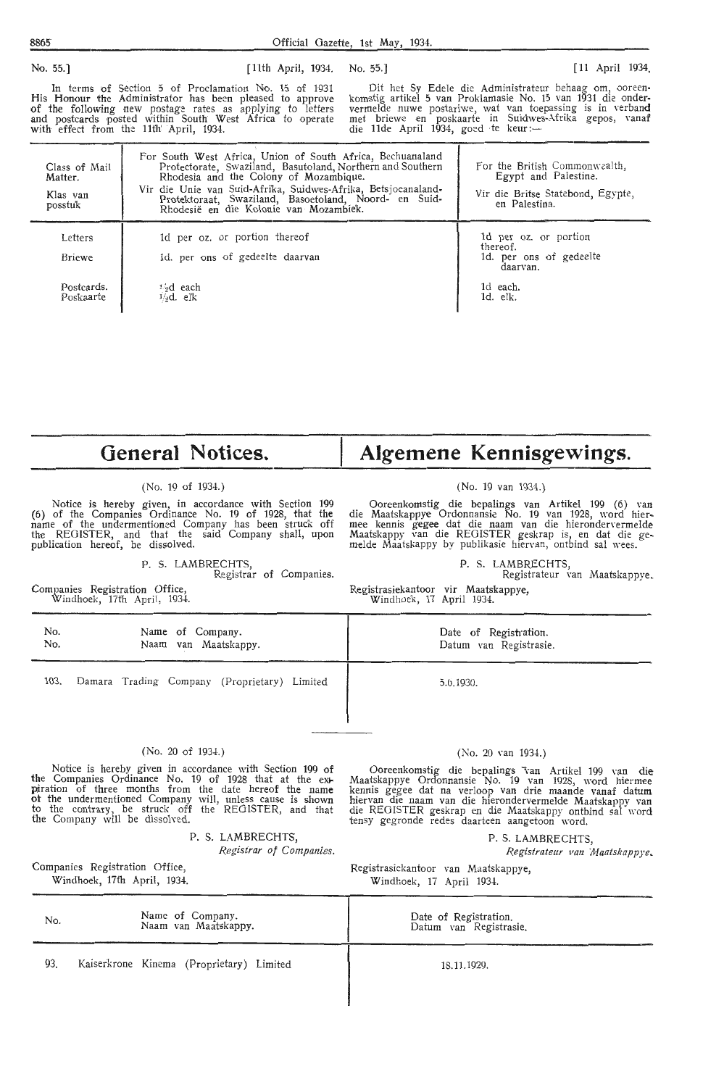| No. 55.]                                        | [11th April, 1934. No. 55.]                                                                                                                                                                                                                                                                                                            |                                     | [11 April 1934]                                                                                                                                                                                                                               |
|-------------------------------------------------|----------------------------------------------------------------------------------------------------------------------------------------------------------------------------------------------------------------------------------------------------------------------------------------------------------------------------------------|-------------------------------------|-----------------------------------------------------------------------------------------------------------------------------------------------------------------------------------------------------------------------------------------------|
|                                                 | In terms of Section 5 of Proclamation No. 15 of 1931<br>His Honour the Administrator has been pleased to approve<br>of the following new postage rates as applying to letters<br>and postcards posted within South West Africa to operate<br>with effect from the 11th April, 1934.                                                    | die 11de April 1934, goed te keur:- | Dit het Sy Edele die Administrateur behaag om, ooreen-<br>komstig artikel 5 van Proklamasie No. 15 van 1931 die onder-<br>vermelde nuwe postariwe, wat van toepassing is in verband<br>met briewe en poskaarte in Suidwes-Afrika gepos, vanaf |
| Class of Mail<br>Matter.<br>Klas van<br>posstuk | For South West Africa, Union of South Africa, Bechuanaland<br>Protectorate, Swaziland, Basutoland, Northern and Southern<br>Rhodesia and the Colony of Mozambique.<br>Vir die Unie van Suid-Afrika, Suidwes-Afrika, Betsjoeanaland-<br>Protektoraat, Swaziland, Basoetoland, Noord- en Suid-<br>Rhodesië en die Kolonie van Mozambiek. |                                     | For the British Commonwealth,<br>Egypt and Palestine.<br>Vir die Britse Statebond, Egypte,<br>en Palestina.                                                                                                                                   |
| Letters<br>Briewe                               | 1d per oz. or portion thereof<br>id. per ons of gedeelte daarvan                                                                                                                                                                                                                                                                       |                                     | 1d per oz. or portion<br>thereof.<br>1d. per ons of gedeelte<br>daarvan.                                                                                                                                                                      |
| Postcards.                                      | 1,9d each                                                                                                                                                                                                                                                                                                                              |                                     | 1d each.                                                                                                                                                                                                                                      |

**General Notices.** 

 $\frac{1}{2}d$ . elk

#### (No. 19 of 1934.)

Notice is hereby given, in accordance with Section 199 (6) of the Companies Ordinance No. 19 of 1928, that the name of the undermentioned Company has been struck off the REGISTER, and that the said Company shall, upon publication hereof, be dissolved.

P. S. LAMBRECHTS,

Registrar of Companies.

Companies Registration Office, Windhoek, 17th April, 1934.

Poskaarte

## **Algemene Kennisgewings.**

ld. elk.

#### (No. 19 van 1934.)

Ooreenkomstig die bepalings van Artikel 199 (6) van die Maatskappye Ordonnansie No. 19 van 1928, word hier-<br>mee kennis gegee dat die naam van die hierondervermelde Maats'kappy van die REGISTER geskrap is, en dat die gemelde Maatskappy by publikasie hiervan, ontbind sal wees.

(No. 20 van 1934.) Ooreenkomstig die bepalings van Artikel 199 van die Maatskappye Ordonnansie No. 19 van 1928, word hiermee

P. S. LAMBRECHTS, Registrateur van Maatskappye.

Registrasiekantoor vir Maatskappye, Windhoek, 17 April 1934.

| No.  | Name of Company.                             | Date of Registration.  |
|------|----------------------------------------------|------------------------|
| No.  | Naam van Maatskappy.                         | Datum van Registrasie. |
| 103. | Damara Trading Company (Proprietary) Limited | 5.6.1930.              |

#### $(No. 20 of 1934.)$

Notice is hereby given in accordance with Section 199 of the Companies Ordinance No. 19 of 1928 that at the expiration of three months from the date hereof the name ot the undermentioned Company will, unless cause is shown to the contrary, be struck off the REGISTER, and that the Company will be dissolved.

P. S. LAMBRECHTS,

Companies Registration Office, Windhoek, 17th April, 1934.

kennis gegee dat na verloop van drie maande vanaf datum hiervan die naam van die hierondervermelde Maatskappy van die REGISTER geskrap en die Maatskappy ontbind sal word tensy gegronde redes daarteen aangetoon word. P. S. LAMBRECHTS, *Registrar of Companies. R.egisfrateur van iHaatskappye.* 

> Registrasiekantoor van Maatskappye, Windhoek, 17 April 1934.

| No. | Name of Company.<br>Naam van Maatskappy. | Date of Registration.<br>Datum van Registrasie. |
|-----|------------------------------------------|-------------------------------------------------|
| 93. | Kaiserkrone Kinema (Proprietary) Limited | 18.11.1929.                                     |

I

### 8865 Official Gazette, 1st May, 1934.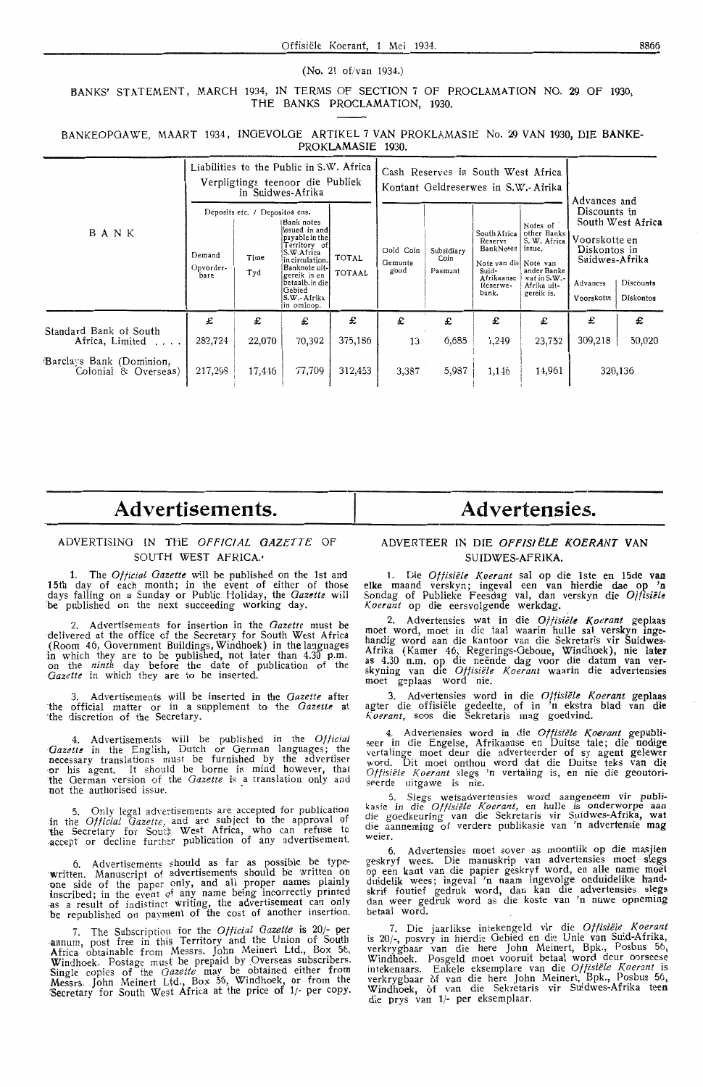#### (No. 21 of/van 1934.)

BANKS' STATEMENT, MARCH 1934, IN TERMS OF SECTION 7 OF PROCLAMATION NO. 29 OF 1930, THE BANKS PROCLAMATION, 1930.

BANKEOPGAWE, MAART 1934, INGEVOLGE ARTIKEL 7 VAN PROKLAMASIE No. 29 VAN 1930, DIE BANKE-**PROKLAMASIE** 1930.

|                                                  | Liabilities to the Public in S.W. Africa<br>Verpligtings teenoor die Publiek<br>in Suidwes-Afrika |                                               |                                                                                                                                                                                            |                               | Cash Reserves in South West Africa<br>Kontant Geldreserwes in S.W.-Afrika |                               |                                                                                                            |                                                                                                               |                                                                                                                                                          |             |
|--------------------------------------------------|---------------------------------------------------------------------------------------------------|-----------------------------------------------|--------------------------------------------------------------------------------------------------------------------------------------------------------------------------------------------|-------------------------------|---------------------------------------------------------------------------|-------------------------------|------------------------------------------------------------------------------------------------------------|---------------------------------------------------------------------------------------------------------------|----------------------------------------------------------------------------------------------------------------------------------------------------------|-------------|
| BANK                                             | Demand<br>Opvorder-<br>bare                                                                       | Deposits etc. / Depositos ens.<br>Time<br>Tyd | Bank notes<br>issued in and<br>payable in the<br>Territory of<br>S.W.Africa<br>in circulation.<br>Banknote uit-<br>gereik in en<br>betaalb.in diel<br>Gebied<br>S.W.- Afrika<br>in omloop. | <b>TOTAL</b><br><b>TOTAAL</b> | Gold Coin<br>Gemunte<br>goud                                              | Subsidiary<br>Coin<br>Pasmunt | South Africa<br>Reserve<br>BankNotes<br>Note van diel Note van<br>Suid-<br>Afrikaanse<br>Reserwe-<br>bank. | Notes of<br>other Banks<br>S. W. Africa<br>issue.<br>ander Banke<br>wat in S.W.-<br>Afrika uit-<br>gereik is. | Advances and<br>Discounts in<br>South West Africa<br>Voorskotte en<br>Diskontos in<br>Suidwes-Afrika<br>Discounts<br>Advances<br>Voorskotte<br>Diskontos |             |
| Standard Bank of South<br>Africa, Limited        | £<br>282,724                                                                                      | £<br>22,070                                   | £<br>70,392                                                                                                                                                                                | £<br>375,186                  | £<br>13                                                                   | £<br>6,685                    | £<br>1,249                                                                                                 | £<br>23,752                                                                                                   | £<br>309,218                                                                                                                                             | £<br>50,020 |
| Barclays Bank (Dominion,<br>Colonial & Overseas) | 217,298                                                                                           | 17,446                                        | 77,709                                                                                                                                                                                     | 312,453                       | 3,387                                                                     | 5,987                         | 1,146                                                                                                      | 14,961                                                                                                        |                                                                                                                                                          | 320,136     |

## **Advertisements.**

#### ADVERTISING IN THE *OFFICIAL GAZETTE* OF SOUTH WEST AFRICA.

1. The *Official Gazette* will be published on the 1st and 15th day of each month; in the event of either of those days fal!ing on a Sunday or Public Holiday, the *Gazette* will be published on the next succeeding working day.

2. Advertisements for insertion in the *Gazette* must be delivered at the office of the Secretary for South West Africa (Room 46, Government Buildings, Windhoek) in the languages in which they are to be published, not later than 4.30 p.m. on the *ninth* day before the date of publication of the Gazette in which they are to be inserted.

3. Advertisements will be inserted in the *Gazette* after ·the official matter or in a supplement to the *Gazette* at ·the discretion of the Secretary.

4. Advertisements will be published in the *Official*  Gazette in the English, Dutch or German languages; the necessary translations must be furnished by the advertiser or his agent. It should be borne in mind however, that the German version of the *Gazette* is a translation only and not the authorised issue.

5. Only legal advertisements are accepted for publication in the *Official Gazette*, and are subject to the approval of the Secretary for South West Africa, who can refuse to -accept or decline further publication of any advertisement.

6. Advertisements should as far as possible be typewritten. Manuscript of advertisements should be written on one side of the paper only, and all proper names plainly inscribed; in the event 0f any name being incorrectly printed -as a result of indistinct writing, the advertisement can only be republished on payment of the cost of another insertion.

7. The Subscriptioti for the *Official Gazette* is 20/- per -annum, post free in this Territory and the Union of South .Africa obtainable from Messrs. John Meinert Ltd., Box 56, Windhoek. Postage must be prepaid by ,Overseas subscribers, Single copies of the *Gazette* may be obtained either from Messrs. John Meinert Ltd., Box 56, Windhoek, or from the Secretary for South West Africa at the price of 1/- per copy.

## **Advertensies.**

#### ADVERTEER IN DIE *OFFIS/ELE KOERANT* VAN SUIDWES-AFRIKA.

1. Die *Offisiele Koerant* sal op die lste en 15de **van**  elke maand ver\_skyn; ingeval een van hierdie dae op 'n Sondag of Publieke Feesdag val, dan verskyn die Offisiële Koerant op die eersvolgende werkdag.

2. Advertensies wat in die Ottisiële Koerant geplaas moet word, moet in die taal waarin hulle sal verskyn ingehandig word aan die kantoor van die Sekretaris vir Suidwes-Afrika (Kamer 46, Regerings-Oeboue, Windhoek), nie later as 4:30 n.m. op die neende dag voor die datum van ver- skymng van die *Offisiele K oerant* waarin die advertensies moet geplaas word nie.

3. Advertensies word in die *Offisiele K\_oerant* geplaas agter die offisiele gedeelte, of in 'n ekstra blad van die Koerant, soos die Sekretaris mag goedvind.

4.\_ A~verlensies word\_ in die *Offisiele K,oerant* gepubli• see r m die Engelse, Afnkaanse en Duitse tale; die **nodige**  vertalinge moet deur die adverteerder of sy agent gelewer word. Dit moet onthou word dat die Duitse teks van die *Offisiële Koerant* slegs 'n vertaling is, en nie die geoutori- seerde uitgawe is nie.

5. Slegs wetsadvertensies word aangeneem vir publi-kasie in die *Of/isiele Koerant,* en hulle *is* onderworpe aan die goedkeuring van die Sekretaris vir Suidwes-Afrika, **wat**  die aanneming of verdere publikasie van 'n advertensie **mag**  weier.

6. Advertensies moet sover as moontlik op die masjien geskryf wees. Die manuskrip van advertensies moet siegs op een kant van die papier geskryf word, en alle name moet duidelik wees; ingeval 'n naam ingevolge onduidelike handskrif foutief gedruk word, dan kan die advertensies slegs dan weer gedruk word as die koste van 'n nuwe opneming betaal word.

7. Die jaarlikse intekengeld vir die *Offisiele K\_oerant*  is 20/-, posvry in hierdie Gebied en die Unie van Suid-Afrika, verkrygbaar van die here John Meinert, Bpk., Posbus 56, Windhoek. Posgeld moet vooruit betaal word deur oorseese intekenaars. Enkele eksemplare van die *Offisiele K,oeran <sup>t</sup>*is verkrygbaar of van die here John Meinert, Bpk., Posbus 56, Windhoek, of van die Sekretaris vir Suidwes-Afrika **teen**  die prys van 1/- per eksemplaar.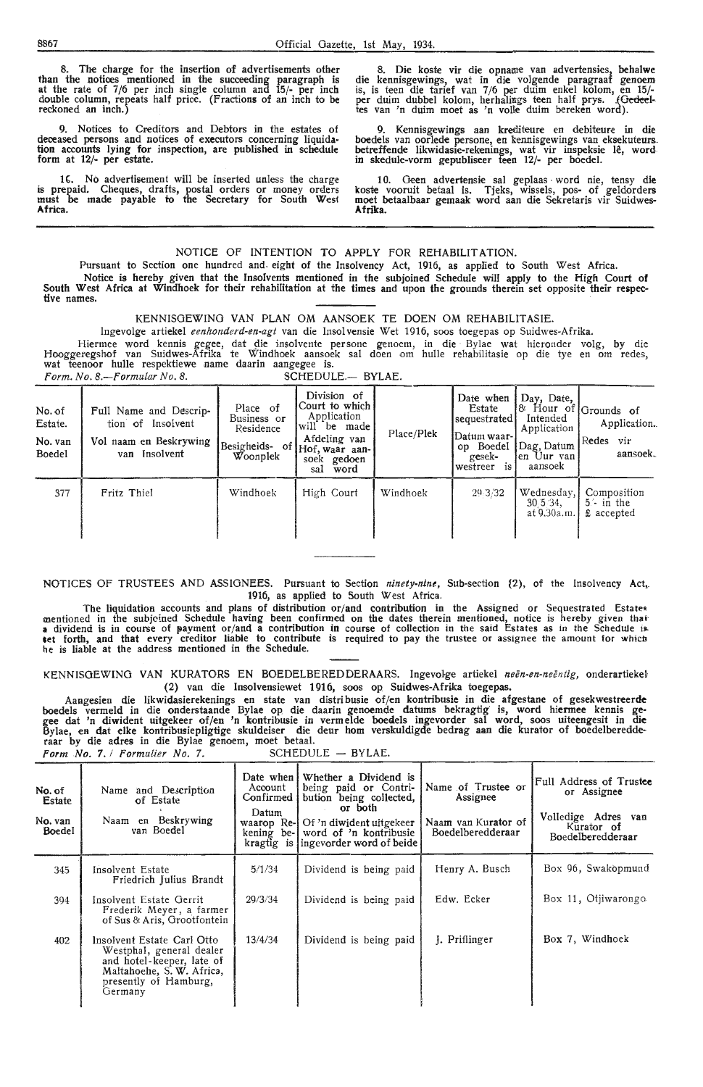The charge for the insertion of advertisements other than the notices mentioned in the succeeding paragraph is at the rate of 7/6 per inch single column and 15/- per inch double column, repeats half price. (Fractions of an inch to be reckoned an inch.)

9. Notices to Creditors and Debtors in the estates of deceased persons and notices of executors concerning liquidation accounts lying for inspection, are published in schedule form at 12/- per estate.

IC. No advertisement will be inserted unless the charge is prepaid. Cheques, drafts, postal orders or money orders must be made payable io the Secretary for South Wes1 **Africa.** 

8. Die koste vir die opname van advertensies, behalwe die kennisgewings, wat in die volgende paragraaf genoem is, is teen die tarief van 7/6 per duim enkel kolom, en 15/ per duim dubbel kolom, herhalings teen half prys. .(<del>Gedee</del>l-<br>tes van 'n duim moet as 'n volle duim bereken word).

9. Kennisgewings aan krediteure en debiteure in die boedels van oorlede persone, en kennisgewings van eksekuteurs. betreffende likwidasie-rekenings, wat vir inspeksie le, word in skedule-vorm gepubliseer teen 12/- per boedel.

10. Geen advertensie sal geplaas • word nie, tensy die koste vooruit betaal is. Tjeks, wissels, pos- of geldorders moet betaalbaar gemaak word aan die Sekretaris vir Suidwes-**Afnlra.** 

#### NOTICE OF INTENTION TO APPLY FOR REHABILITATION.

Pursuant to Section one hundred and. eight of the Insolvency Act, 1916, as applied to South West Africa. Notice is hereby given that the Insolvents mentioned in the subjoined Schedule will apply to the High Court of South West Africa at Windhoek for their rehabilitation at the times and upon the grounds therein set opposite their respec**tive names.** 

KENNISGEWINO VAN PLAN OM AANSOEK TE DOEN OM REHABlLITASIE.

lngevolge artiekel *eenhonderd-en-agt* van die lnsol vensie Wet 1916, soos toegepas op Suidwes-Afrika.

Hiermee word kennis gegee, dat die insolvente persone genoem, in die Bylae wat hieronder volg, by die Hooggeregshof van Suidwes-Afrika te Windhoek aansoek sal doen om hulle rehabilitasie op die tye en om redes, wat teenoor hulle respektiewe name daarin aangegee is.

| No. of<br>Estate.<br>No. van<br>Boedel | Full Name and Descrip-<br>tion of Insolvent<br>Vol naam en Beskrywing<br>van Insolvent | Place of<br>Business or<br>Residence<br>Woonplek | Division of<br> Court to which  <br>Application<br>will be made!<br>Afdeling van<br>(Besigheids- of Hof, waar aan-<br>soek gedoen<br>word<br>sal | Place/Plek | Date when<br>Estate<br>sequestrated<br>Datum waar-l<br>op Boedel<br>gesek-<br>westreer is l | $\vert$ Day, Date,<br>Intended<br>Application<br>Dag, Datum<br>len Uur van<br>aansoek | $8$ Hour of Grounds of<br>Application.<br>Redes vir<br>aansoek. |
|----------------------------------------|----------------------------------------------------------------------------------------|--------------------------------------------------|--------------------------------------------------------------------------------------------------------------------------------------------------|------------|---------------------------------------------------------------------------------------------|---------------------------------------------------------------------------------------|-----------------------------------------------------------------|
| 377                                    | Fritz Thiel                                                                            | Windhoek                                         | High Court                                                                                                                                       | Windhoek   | 29.3/32                                                                                     | Wednesday,<br>30.5.34<br>at 9.30a.m.                                                  | Composition<br>$5 - in$ the<br>£ accepted                       |

*Form. No. 8.--Formular No. 8.* SCHEDULE.- BYLAE.

NOTICES OF TRUSTEES AND ASSIGNEES. Pursuant to Section *ninety-nine,* Sub-section {2), of the Insolvency Act,.. 1916, as applied to South West Africa.

The liquidation accounts and plans of distribution or/and contribution in the Assigned or Sequestrated Estate• mentioned in the subjeined Schedule having been confirmed on the dates therein mentioned, notice is hereby given that<br>a dividend is in course of payment or/and a contribution in course of collection in the said Estates as that forth, and that every creditor liable to contribute is required to pay the trustee or assignee the amount for which he is liable at the address mentioned in the Schedule.

KENNISGEWING VAN KURATORS EN BOEDELBERED DERAARS. Ingevolge artiekel *neën-en-neëntig*, onderartiekel (2) van die Insolvensiewet 1916, soos op Suidwes-Afrika toegepas.

Aangesien die likwidasierekenings en state van distribusie of/en kontribusie in die afgestane of gesekwestreerd<del>e</del> boedels vermeld in die onderstaande Bylae op die daarin genoemde datums bekragtig· is, word hiermee kennis gegee dat 'n diwident uitgekeer of/en 'n kontribusie in vermelde boeciels ingevorder sal word, soos uiteengesit in die Bylae, en dat elke kontribusiepligtige skuldeiser die deur horn verskuldigde bedrag aan die kurator of boedelberedde-, raar by die adres in die Bylae genoem, moet betaal.

*form No.* 7. *I formulier No.* 7. SCHEDULE - BYLAE.

| No. of<br><b>Estate</b><br>No. van<br>Boedel | Name and Description<br>of Estate<br>Naam en Beskrywing<br>van Boedel                                                                                | Date when I<br>Account<br>Confirmed i<br>Datum | Whether a Dividend is<br>being paid or Contri-<br>bution being collected,<br>or both<br>waarop Re-HOf 'n diwident uitgekeer<br>kening be-1 word of 'n kontribusie<br>kragtig is ingevorder word of beide | Name of Trustee or<br>Assignee<br>Naam van Kurator of<br>Boedelberedderaar | Full Address of Trustee<br>or Assignee<br>Volledige Adres<br>van<br>Kurator of<br>Boedelberedderaar |
|----------------------------------------------|------------------------------------------------------------------------------------------------------------------------------------------------------|------------------------------------------------|----------------------------------------------------------------------------------------------------------------------------------------------------------------------------------------------------------|----------------------------------------------------------------------------|-----------------------------------------------------------------------------------------------------|
| 345                                          | Insolvent Estate<br>Friedrich Julius Brandt                                                                                                          | 5/1/34                                         | Dividend is being paid                                                                                                                                                                                   | Henry A. Busch                                                             | Box 96, Swakopmund                                                                                  |
| 394                                          | Insolvent Estate Gerrit<br>Frederik Meyer, a farmer<br>of Sus & Aris, Grootfontein                                                                   | 29/3/34                                        | Dividend is being paid                                                                                                                                                                                   | Edw. Ecker                                                                 | Box 11, Ofiiwarongo                                                                                 |
| 402                                          | Insolvent Estate Carl Otto<br>Westphal, general dealer<br>and hotel-keeper, late of<br>Maltahoehe, S. W. Africa,<br>presently of Hamburg,<br>Germany | 13/4/34                                        | Dividend is being paid                                                                                                                                                                                   | J. Priflinger                                                              | Box 7, Windhoek                                                                                     |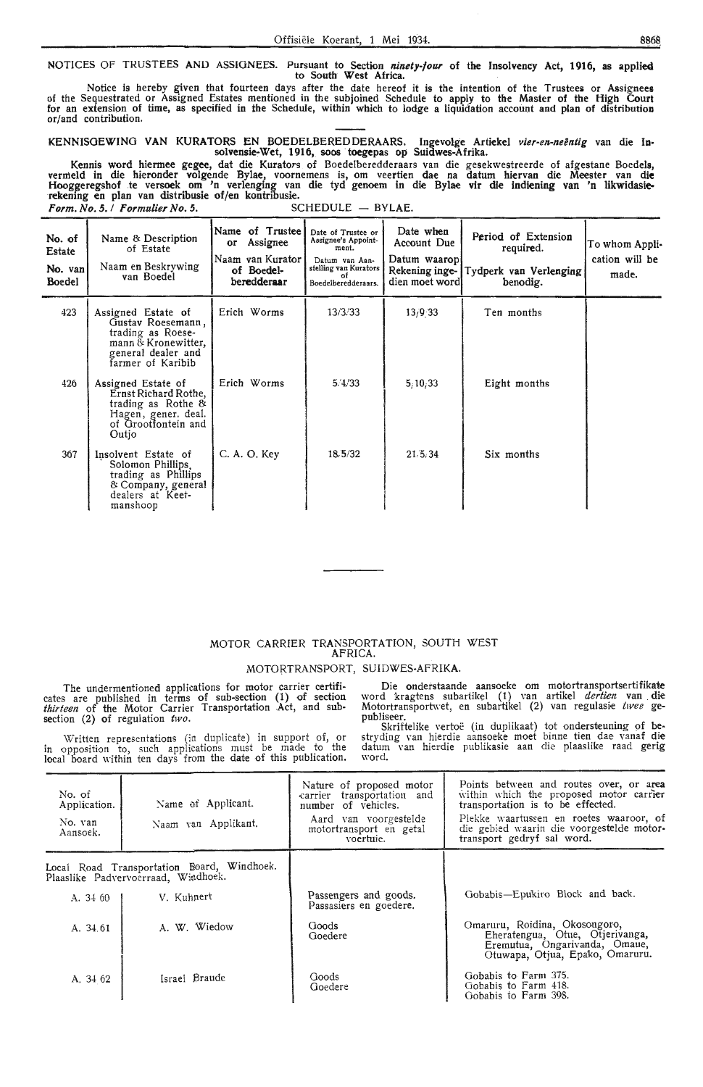NOTICES OF TRUSTEES AND ASSIGNEES. Pursuant to Section *ninety-four* of the Insolvency Act, 1916, as applied to South West Africa.

Notice is hereby given that fourteen days after the date hereof it is the intention of the Trustees or Assignees of the Sequestrated or Assigned Estates mentioned in the subjoined Schedule to apply to the Master of the High Court for an extension of time, as specified in the Schedule, within which to lodge a liquidation account and plan of distribution or/and contribution.

KENNISOEWINO VAN KURATORS EN BOEDELBEREDDERAARS. lngevolge Artiekel *vier-en-neentig* van die **ln**solvensie~Wet, 1916, soos toegepas op Suidwes-Afrika.

Kennis word hiermee gegee, dat die Kurators of Boedelberedderaars van die gesekwestreerde of afgestane Boedels, vermeld in die hieronder volgende Bylae, voornemens is, om veertien dae na datum hiervan die Meester van die<br>Hooggeregshof te versoek om 'n verlenging van die tyd genoem in die Bylae vir die indiening van 'n likwidasierekening en plan van distribusie of/en kontribusie.<br>Form. No. 5. / Formulier No. 5. SCHEDULE – BYLAE. *Form. No. 5. / Formulier No. 5.* 

| No. of<br>Estate<br>No. van<br>Boedel | Name & Description<br>of Estate<br>Naam en Beskrywing<br>van Boedel                                                            | Name of Trustee  <br>or Assignee<br>Naam van Kurator<br>of Boedel-<br>beredderaar | Date of Trustee or<br>Assignee's Appoint-<br>ment.<br>Datum van Aan-<br>stelling van Kurators<br>Boedelberedderaars. | Date when<br>Account Due<br>Datum waaropl<br>Rekening inge-<br>dien moet wordl | Period of Extension<br>required.<br>Tydperk van Verlenging<br>benodig. | To whom Appli-<br>cation will be<br>made. |
|---------------------------------------|--------------------------------------------------------------------------------------------------------------------------------|-----------------------------------------------------------------------------------|----------------------------------------------------------------------------------------------------------------------|--------------------------------------------------------------------------------|------------------------------------------------------------------------|-------------------------------------------|
| 423                                   | Assigned Estate of<br>Gustav Roesemann,<br>trading as Roese-<br>mann & Kronewitter,<br>general dealer and<br>farmer of Karibib | Erich Worms                                                                       | 13/3/33                                                                                                              | 13/9.33                                                                        | Ten months                                                             |                                           |
| 426                                   | Assigned Estate of<br>Ernst Richard Rothe,<br>trading as Rothe $\&$<br>Hagen, gener, deal.<br>of Grootfontein and<br>Outio     | Erich Worms                                                                       | 5/4/33                                                                                                               | 5/10/33                                                                        | Eight months                                                           |                                           |
| 367                                   | Insolvent Estate of<br>Solomon Phillips.<br>trading as Phillips<br>& Company, general<br>dealers at Keet-<br>manshoop          | C. A. O. Key                                                                      | 18,5/32                                                                                                              | 21.5.34                                                                        | Six months                                                             |                                           |

#### MOTOR CARRIER TRANSPORTATION, SOUTH WEST AFRICA.

MOTORTRANSPORT, SUIDWES-AFRIKA.

The undermentioned applications for motor carrier certificates are published in terms of sub-section (1) of section *thirteen* of the Motor Carrier Transportation Act, and subsection (2) of regulation *two.* 

Die onderstaande aansoeke om motortransportsertifikate word kragtens subartikel (1) van artikel *dertien* van die Motortransportwet, en subartikel (2) van regulasie twee ge-

Written representations (in duplicate) in support of, or in opposition to, such applications must be made to the local board within ten days from the date of this publication.

publiseer.<br>Skriftelike vertoë (in duplikaat) tot ondersteuning of bestryding van hierdie aansoeke moet binne tien dae vana**f die**<br>datum van hierdie publikasie aan die plaaslike raad gerig word.

| No. of<br>Application.<br>No. van<br>Aansoek. | Name of Applicant.<br>Naam van Applikant.                                         | Nature of proposed motor<br>carrier transportation and<br>number of vehicles.<br>Aard van voorgestelde<br>motortransport en getal<br>voertuie. | Points between and routes over, or area<br>within which the proposed motor carrier<br>transportation is to be effected.<br>Plekke waartussen en roetes waaroor, of<br>die gebied waarin die voorgestelde motor-<br>transport gedryf sal word. |
|-----------------------------------------------|-----------------------------------------------------------------------------------|------------------------------------------------------------------------------------------------------------------------------------------------|-----------------------------------------------------------------------------------------------------------------------------------------------------------------------------------------------------------------------------------------------|
|                                               | Local Road Transportation Board, Windhoek.<br>Plaaslike Padvervoerraad, Wiadhoek. |                                                                                                                                                |                                                                                                                                                                                                                                               |
| A. 34 60                                      | V. Kuhnert                                                                        | Passengers and goods.<br>Passasiers en goedere.                                                                                                | Gobabis-Epukiro Block and back.                                                                                                                                                                                                               |
| A. 34.61                                      | A. W. Wiedow                                                                      | Goods<br>Goedere                                                                                                                               | Omaruru, Roidina, Okosongoro,<br>Eheratengua, Otue, Otjerivanga,<br>Eremutua, Ongarivanda, Omaue,<br>Otuwapa, Otjua, Epako, Omaruru.                                                                                                          |
| A, 34 62                                      | Israel Braude                                                                     | Goods<br>Goedere                                                                                                                               | Gobabis to Farm 375.<br>Gobabis to Farm 418.<br>Gobabis to Farm 398.                                                                                                                                                                          |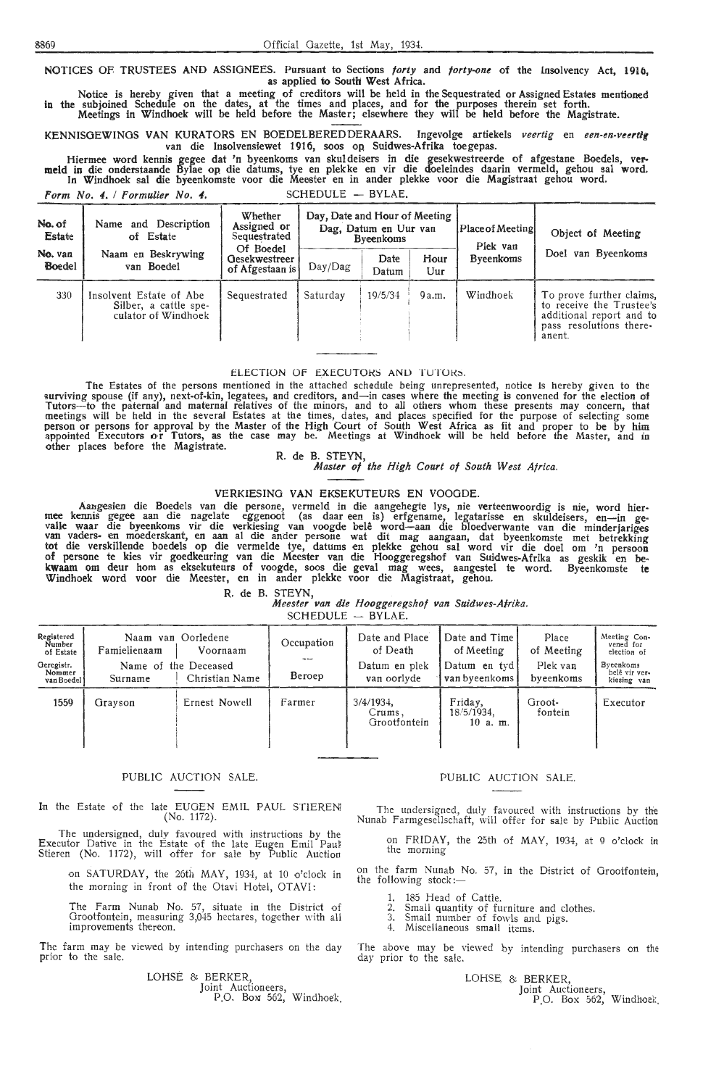NOTICES OF TRUSTEES AND ASSIGNEES. Pursuant to Sections *forty* and *forty-one* of the Insolvency Act, 1910, as applied to South West Africa.

Notice is hereby given that a meeting of creditors will be held in the Sequestrated or Assigned Estates mentioned in the subjoined Schedule on the dates, at the times and places, and for the purposes therein set forth. Meetings in Windhoek will be held before the Master; elsewhere they will be held before the Magistrate.

KENNISGEWINGS VAN KURATORS EN BOEDELBEREDDERAARS. Ingevolge artiekels *veertig* en *een-en-veertig* van die Insolvensiewet 1916, soos op, Suidwes-Afrika toegepas.

Hiermee word kennis gegee dat 'n byeenkoms van skul deisers in die gesekwestreerde of afgestane Boedels, ver- meld in die onderstaande Bylae op die datums, tye en plek ke en vir die doeleindes daarin vermeld, gehou sal word. In Windhoek sal die byeenkomste voor die Meester en in antler plekke voor die Magistraat gehou word.

*Form No. 4. I Formulier No. 4.* SCHEDULE - BYLAE.

| No. of<br>Estate         | Name and Description<br>of Estate                                       | Whether<br>Assigned or<br>Sequestrated        | Day, Date and Hour of Meeting | Dag, Datum en Uur van<br><b>Byeenkoms</b> |                | Place of Meeting<br>Plek van | Object of Meeting                                                                                                     |
|--------------------------|-------------------------------------------------------------------------|-----------------------------------------------|-------------------------------|-------------------------------------------|----------------|------------------------------|-----------------------------------------------------------------------------------------------------------------------|
| No. van<br><b>Boedel</b> | Naam en Beskrywing<br>van Boedel                                        | Of Boedel<br>Gesekwestreer<br>of Afgestaan is | Day/Dag                       | Date<br>Datum                             | Hour<br>$U$ ur | <b>Byeenkoms</b>             | Doel van Byeenkoms                                                                                                    |
| 330                      | Insolvent Estate of Abe<br>Silber, a cattle spe-<br>culator of Windhoek | Sequestrated                                  | Saturday                      | 19/5/34                                   | 9a.m.          | Windhoek                     | To prove further claims,<br>to receive the Trustee's<br>additional report and to<br>pass resolutions there-<br>anent. |

#### ELECTION OF EXECUTORS AND TUTORS.

The Estates of the persons mentioned in the attached schedule being unrepresented, notice is hereby given to the<br>surviving spouse (if any), next-of-kin, legatees, and creditors, and—in cases where the meeting is convened f meetings will be held in the several Estates at the times, dates, and places specified for the purpose of selecting some<br>person or persons for approval by the Master of the High Court of South West Africa as fit and proper other places before the Magistrate.<br>R. de B. STEYN,

*Master of the High Court of South West Africa.* 

#### VERKIESING VAN EKSEKUTEURS EN VOOGDE.

Aangesien die Boedels van die persone, vermeld in die aangehegte lys, nie verteenwoordig is nie, word hier-<br>mee kennis gegee aan die nagelate eggenoot (as daar een is) erfgename, legatarisse en skuldeisers, en—in ge-<br>valle tot die verskillende boedels op die vermelde tye, datums en plekke gehou sal word vir die doel om 'n persoon of persone te kies vir goedkeuring van die Meester van die Hooggeregshof van Suidwes-Afrika as geskik en bekwaam om deur horn as eksekuteurs of voogde, soos die geval mag wees, aangestel te word. Byeenkomste **te**  Windhoek word voor die Meester, en in ander plekke voor die Magistraat, gehou.

R. de B. STEYN,

*Meester van die Hooggere{!shof van Suidwes-Airika.* 

SCHEDULE - BYLAE.

| Registered<br>Number<br>of Estate<br>Geregistr.<br>Nommer<br>van Boedel | Famielienaam<br>Surname | Naam van Oorledene<br>Voornaam<br>Name of the Deceased<br>Christian Name | Occupation<br>Beroep | Date and Place<br>of Death<br>Datum en plek<br>van oorlyde | Date and Time<br>of Meeting<br>Datum en tydl<br>van byeenkoms | Place<br>of Meeting<br>Plek van<br>byeenkoms | Meeting Con-<br>vened for<br>election of<br>Byeenkoms<br>belê vir ver-<br>kiesing van |
|-------------------------------------------------------------------------|-------------------------|--------------------------------------------------------------------------|----------------------|------------------------------------------------------------|---------------------------------------------------------------|----------------------------------------------|---------------------------------------------------------------------------------------|
| 1559                                                                    | Grayson                 | Ernest Nowell                                                            | Farmer               | $3/4/1934$ ,<br>Crums,<br>Grootfontein                     | Friday,<br>18/5/1934.<br>$10$ a.m.                            | Groot-<br>fontein                            | Executor                                                                              |

#### PUBLIC AUCTION SALE.

In the Estate of the late EUGEN EMIL PAUL STIEREN! (No, 1172).

The undersigned, duly favoured with instructions by the Executor Dative in the Estate of the late Eugen Emil Paul Stieren (No. 1172), will offer for sale by Public Auction

on SATURDAY, the 26th MAY, 1934, at 10 o'clock in the morning in front of the Otavi Hotel, OTAVI:

The Farm Nunab No. 57, situate in the District of Grootfontein, measuring 3,045 hectares, together with all improvements thereon.

The farm may be viewed by intending purchasers on the day prior to the sale.

LOHSE & BERKER, Joint Auctioneers, P.O. Box 562, Windhoek

#### PUBLIC AUCTION SALE.

The undersigned, duly favoured with instructions by the Nunab Farmgesellschaft, will offer for sale by Public Auction

on FRIDAY, the 25th of MAY, 1934, at 9 o'clock in the morning

on the farm Nunab No. 57, in the District of Orootfontein, the following stock:-

1. 185 Head of Cattle.<br>2. Small quantity of furniture and clothes.

- 3. Small number of fowls and pigs. Miscellaneous small items.
- 

The above may be viewed by intending purchasers on the day prior *to* the sale.

LOHSE; & BERKER,

Joint Auctioneers, P.O. Box 562, Windhoek